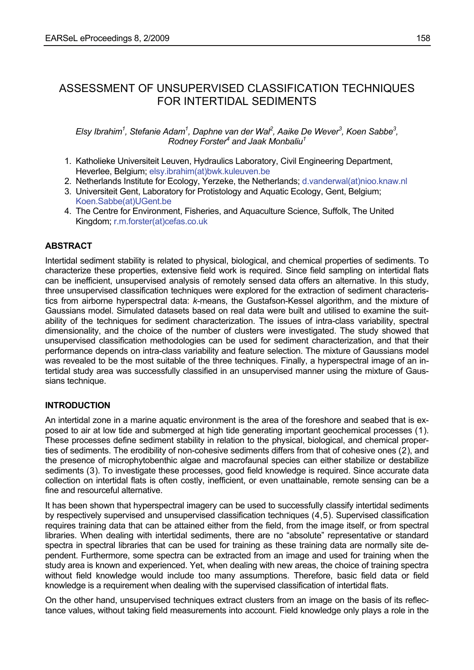# ASSESSMENT OF UNSUPERVISED CLASSIFICATION TECHNIQUES FOR INTERTIDAL SEDIMENTS

## *Elsy Ibrahim1 , Stefanie Adam1 , Daphne van der Wal2 , Aaike De Wever3 , Koen Sabbe3 ,*  **Rodney Forster<sup>4</sup> and Jaak Monbaliu<sup>1</sup>**

- 1. Katholieke Universiteit Leuven, Hydraulics Laboratory, Civil Engineering Department, Heverlee, Belgium; elsy.ibrahim(at)bwk.kuleuven.be
- 2. Netherlands Institute for Ecology, Yerzeke, the Netherlands; d.vanderwal(at)nioo.knaw.nl
- 3. Universiteit Gent, Laboratory for Protistology and Aquatic Ecology, Gent, Belgium; Koen.Sabbe(at)UGent.be
- 4. The Centre for Environment, Fisheries, and Aquaculture Science, Suffolk, The United Kingdom; r.m.forster(at)cefas.co.uk

## **ABSTRACT**

Intertidal sediment stability is related to physical, biological, and chemical properties of sediments. To characterize these properties, extensive field work is required. Since field sampling on intertidal flats can be inefficient, unsupervised analysis of remotely sensed data offers an alternative. In this study, three unsupervised classification techniques were explored for the extraction of sediment characteristics from airborne hyperspectral data: *k*-means, the Gustafson-Kessel algorithm, and the mixture of Gaussians model. Simulated datasets based on real data were built and utilised to examine the suitability of the techniques for sediment characterization. The issues of intra-class variability, spectral dimensionality, and the choice of the number of clusters were investigated. The study showed that unsupervised classification methodologies can be used for sediment characterization, and that their performance depends on intra-class variability and feature selection. The mixture of Gaussians model was revealed to be the most suitable of the three techniques. Finally, a hyperspectral image of an intertidal study area was successfully classified in an unsupervised manner using the mixture of Gaussians technique.

## **INTRODUCTION**

An intertidal zone in a marine aquatic environment is the area of the foreshore and seabed that is exposed to air at low tide and submerged at high tide generating important geochemical processes ([1](#page-19-0)). These processes define sediment stability in relation to the physical, biological, and chemical properties of sediments. The erodibility of non-cohesive sediments differs from that of cohesive ones ([2](#page-19-1)), and the presence of microphytobenthic algae and macrofaunal species can either stabilize or destabilize sediments ([3](#page-19-1)). To investigate these processes, good field knowledge is required. Since accurate data collection on intertidal flats is often costly, inefficient, or even unattainable, remote sensing can be a fine and resourceful alternative.

<span id="page-0-0"></span>It has been shown that hyperspectral imagery can be used to successfully classify intertidal sediments by respectively supervised and unsupervised classification techniques ([4](#page-19-1),[5](#page-19-1)). Supervised classification requires training data that can be attained either from the field, from the image itself, or from spectral libraries. When dealing with intertidal sediments, there are no "absolute" representative or standard spectra in spectral libraries that can be used for training as these training data are normally site dependent. Furthermore, some spectra can be extracted from an image and used for training when the study area is known and experienced. Yet, when dealing with new areas, the choice of training spectra without field knowledge would include too many assumptions. Therefore, basic field data or field knowledge is a requirement when dealing with the supervised classification of intertidal flats.

On the other hand, unsupervised techniques extract clusters from an image on the basis of its reflectance values, without taking field measurements into account. Field knowledge only plays a role in the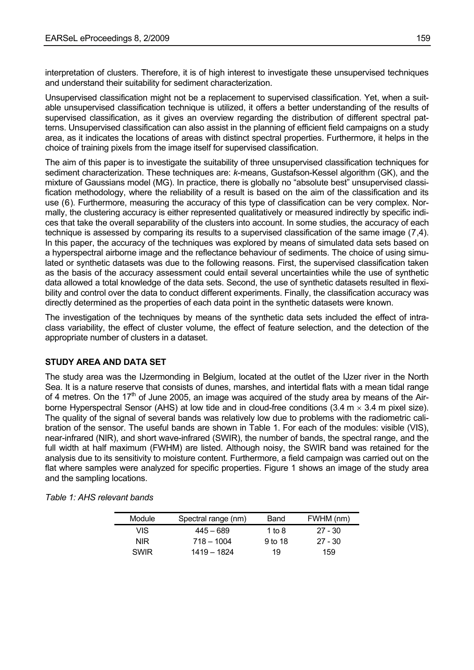interpretation of clusters. Therefore, it is of high interest to investigate these unsupervised techniques and understand their suitability for sediment characterization.

Unsupervised classification might not be a replacement to supervised classification. Yet, when a suitable unsupervised classification technique is utilized, it offers a better understanding of the results of supervised classification, as it gives an overview regarding the distribution of different spectral patterns. Unsupervised classification can also assist in the planning of efficient field campaigns on a study area, as it indicates the locations of areas with distinct spectral properties. Furthermore, it helps in the choice of training pixels from the image itself for supervised classification.

<span id="page-1-0"></span>The aim of this paper is to investigate the suitability of three unsupervised classification techniques for sediment characterization. These techniques are: *k*-means, Gustafson-Kessel algorithm (GK), and the mixture of Gaussians model (MG). In practice, there is globally no "absolute best" unsupervised classification methodology, where the reliability of a result is based on the aim of the classification and its use [\(6](#page-19-1)). Furthermore, measuring the accuracy of this type of classification can be very complex. Normally, the clustering accuracy is either represented qualitatively or measured indirectly by specific indices that take the overall separability of the clusters into account. In some studies, the accuracy of each technique is assessed by comparing its results to a supervised classification of the same image ([7](#page-19-1)[,4](#page-0-0)). In this paper, the accuracy of the techniques was explored by means of simulated data sets based on a hyperspectral airborne image and the reflectance behaviour of sediments. The choice of using simulated or synthetic datasets was due to the following reasons. First, the supervised classification taken as the basis of the accuracy assessment could entail several uncertainties while the use of synthetic data allowed a total knowledge of the data sets. Second, the use of synthetic datasets resulted in flexibility and control over the data to conduct different experiments. Finally, the classification accuracy was directly determined as the properties of each data point in the synthetic datasets were known.

The investigation of the techniques by means of the synthetic data sets included the effect of intraclass variability, the effect of cluster volume, the effect of feature selection, and the detection of the appropriate number of clusters in a dataset.

## **STUDY AREA AND DATA SET**

The study area was the IJzermonding in Belgium, located at the outlet of the IJzer river in the North Sea. It is a nature reserve that consists of dunes, marshes, and intertidal flats with a mean tidal range of 4 metres. On the  $17<sup>th</sup>$  of June 2005, an image was acquired of the study area by means of the Airborne Hyperspectral Sensor (AHS) at low tide and in cloud-free conditions (3.4 m  $\times$  3.4 m pixel size). The quality of the signal of several bands was relatively low due to problems with the radiometric calibration of the sensor. The useful bands are shown in Table 1. For each of the modules: visible (VIS), near-infrared (NIR), and short wave-infrared (SWIR), the number of bands, the spectral range, and the full width at half maximum (FWHM) are listed. Although noisy, the SWIR band was retained for the analysis due to its sensitivity to moisture content. Furthermore, a field campaign was carried out on the flat where samples were analyzed for specific properties. Figure 1 shows an image of the study area and the sampling locations.

| Module      | Spectral range (nm) | Band    | FWHM (nm) |
|-------------|---------------------|---------|-----------|
| VIS.        | 445 – 689           | 1 to 8  | $27 - 30$ |
| NIR.        | $718 - 1004$        | 9 to 18 | $27 - 30$ |
| <b>SWIR</b> | 1419 – 1824         | 19      | 159       |

*Table 1: AHS relevant bands*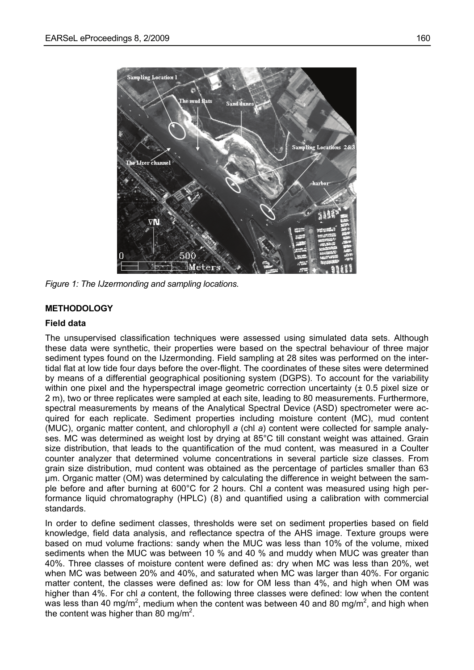

*Figure 1: The IJzermonding and sampling locations.* 

## **METHODOLOGY**

### **Field data**

The unsupervised classification techniques were assessed using simulated data sets. Although these data were synthetic, their properties were based on the spectral behaviour of three major sediment types found on the IJzermonding. Field sampling at 28 sites was performed on the intertidal flat at low tide four days before the over-flight. The coordinates of these sites were determined by means of a differential geographical positioning system (DGPS). To account for the variability within one pixel and the hyperspectral image geometric correction uncertainty ( $\pm$  0.5 pixel size or 2 m), two or three replicates were sampled at each site, leading to 80 measurements. Furthermore, spectral measurements by means of the Analytical Spectral Device (ASD) spectrometer were acquired for each replicate. Sediment properties including moisture content (MC), mud content (MUC), organic matter content, and chlorophyll *a* (chl *a*) content were collected for sample analyses. MC was determined as weight lost by drying at 85°C till constant weight was attained. Grain size distribution, that leads to the quantification of the mud content, was measured in a Coulter counter analyzer that determined volume concentrations in several particle size classes. From grain size distribution, mud content was obtained as the percentage of particles smaller than 63 µm. Organic matter (OM) was determined by calculating the difference in weight between the sample before and after burning at 600°C for 2 hours. Chl *a* content was measured using high performance liquid chromatography (HPLC) ([8](#page-19-1)) and quantified using a calibration with commercial standards.

In order to define sediment classes, thresholds were set on sediment properties based on field knowledge, field data analysis, and reflectance spectra of the AHS image. Texture groups were based on mud volume fractions: sandy when the MUC was less than 10% of the volume, mixed sediments when the MUC was between 10 % and 40 % and muddy when MUC was greater than 40%. Three classes of moisture content were defined as: dry when MC was less than 20%, wet when MC was between 20% and 40%, and saturated when MC was larger than 40%. For organic matter content, the classes were defined as: low for OM less than 4%, and high when OM was higher than 4%. For chl *a* content, the following three classes were defined: low when the content was less than 40 mg/m<sup>2</sup>, medium when the content was between 40 and 80 mg/m<sup>2</sup>, and high when the content was higher than 80 mg/m<sup>2</sup>.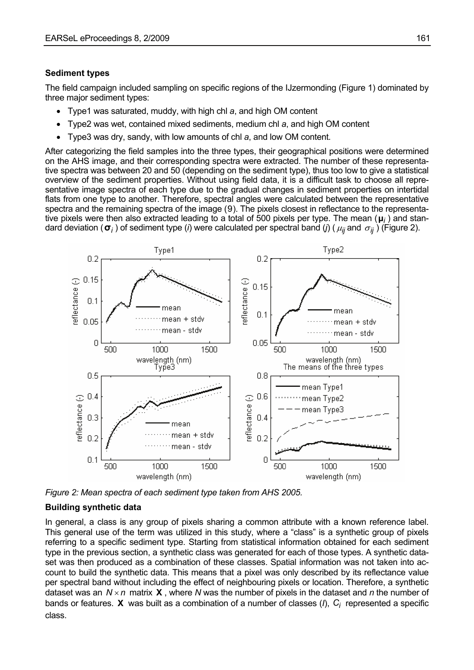### **Sediment types**

The field campaign included sampling on specific regions of the IJzermonding (Figure 1) dominated by three major sediment types:

- Type1 was saturated, muddy, with high chl *a*, and high OM content
- Type2 was wet, contained mixed sediments, medium chl *a*, and high OM content
- Type3 was dry, sandy, with low amounts of chl *a*, and low OM content*.*

After categorizing the field samples into the three types, their geographical positions were determined on the AHS image, and their corresponding spectra were extracted. The number of these representative spectra was between 20 and 50 (depending on the sediment type), thus too low to give a statistical overview of the sediment properties. Without using field data, it is a difficult task to choose all representative image spectra of each type due to the gradual changes in sediment properties on intertidal flats from one type to another. Therefore, spectral angles were calculated between the representative spectra and the remaining spectra of the image ([9](#page-19-1)). The pixels closest in reflectance to the representative pixels were then also extracted leading to a total of 500 pixels per type. The mean (**μ***<sup>i</sup>* ) and standard deviation ( $\sigma_i$ ) of sediment type (*i*) were calculated per spectral band (*j*) ( $\mu_{ij}$  and  $\sigma_{ij}$ ) (Figure 2).

<span id="page-3-0"></span>

*Figure 2: Mean spectra of each sediment type taken from AHS 2005.* 

#### **Building synthetic data**

In general, a class is any group of pixels sharing a common attribute with a known reference label. This general use of the term was utilized in this study, where a "class" is a synthetic group of pixels referring to a specific sediment type. Starting from statistical information obtained for each sediment type in the previous section, a synthetic class was generated for each of those types. A synthetic dataset was then produced as a combination of these classes. Spatial information was not taken into account to build the synthetic data. This means that a pixel was only described by its reflectance value per spectral band without including the effect of neighbouring pixels or location. Therefore, a synthetic dataset was an  $N \times n$  matrix **X**, where N was the number of pixels in the dataset and n the number of bands or features.  $\bm{X}$  was built as a combination of a number of classes (*l*),  $C_i$  represented a specific class.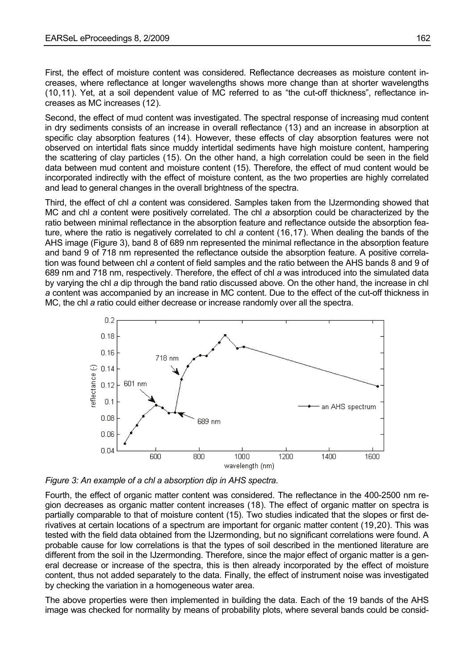First, the effect of moisture content was considered. Reflectance decreases as moisture content increases, where reflectance at longer wavelengths shows more change than at shorter wavelengths ([10](#page-19-1),[11](#page-19-1)). Yet, at a soil dependent value of MC referred to as "the cut-off thickness", reflectance increases as MC increases ([12](#page-19-1)).

Second, the effect of mud content was investigated. The spectral response of increasing mud content in dry sediments consists of an increase in overall reflectance ([13](#page-19-1)) and an increase in absorption at specific clay absorption features ([14](#page-20-0)). However, these effects of clay absorption features were not observed on intertidal flats since muddy intertidal sediments have high moisture content, hampering the scattering of clay particles ([15](#page-20-0)). On the other hand, a high correlation could be seen in the field data between mud content and moisture content ([15\)](#page-4-0). Therefore, the effect of mud content would be incorporated indirectly with the effect of moisture content, as the two properties are highly correlated and lead to general changes in the overall brightness of the spectra.

<span id="page-4-0"></span>Third, the effect of chl *a* content was considered. Samples taken from the IJzermonding showed that MC and chl *a* content were positively correlated. The chl *a* absorption could be characterized by the ratio between minimal reflectance in the absorption feature and reflectance outside the absorption feature, where the ratio is negatively correlated to chl *a* content ([16](#page-20-0),[17](#page-20-0)). When dealing the bands of the AHS image (Figure 3), band 8 of 689 nm represented the minimal reflectance in the absorption feature and band 9 of 718 nm represented the reflectance outside the absorption feature. A positive correlation was found between chl *a* content of field samples and the ratio between the AHS bands 8 and 9 of 689 nm and 718 nm, respectively. Therefore, the effect of chl *a* was introduced into the simulated data by varying the chl *a* dip through the band ratio discussed above. On the other hand, the increase in chl *a* content was accompanied by an increase in MC content. Due to the effect of the cut-off thickness in MC, the chl *a* ratio could either decrease or increase randomly over all the spectra.



*Figure 3: An example of a chl a absorption dip in AHS spectra.* 

Fourth, the effect of organic matter content was considered. The reflectance in the 400-2500 nm region decreases as organic matter content increases ([18](#page-20-0)). The effect of organic matter on spectra is partially comparable to that of moisture content ([15\)](#page-4-0). Two studies indicated that the slopes or first derivatives at certain locations of a spectrum are important for organic matter content [\(19](#page-20-0),[20](#page-20-0)). This was tested with the field data obtained from the IJzermonding, but no significant correlations were found. A probable cause for low correlations is that the types of soil described in the mentioned literature are different from the soil in the IJzermonding. Therefore, since the major effect of organic matter is a general decrease or increase of the spectra, this is then already incorporated by the effect of moisture content, thus not added separately to the data. Finally, the effect of instrument noise was investigated by checking the variation in a homogeneous water area.

The above properties were then implemented in building the data. Each of the 19 bands of the AHS image was checked for normality by means of probability plots, where several bands could be consid-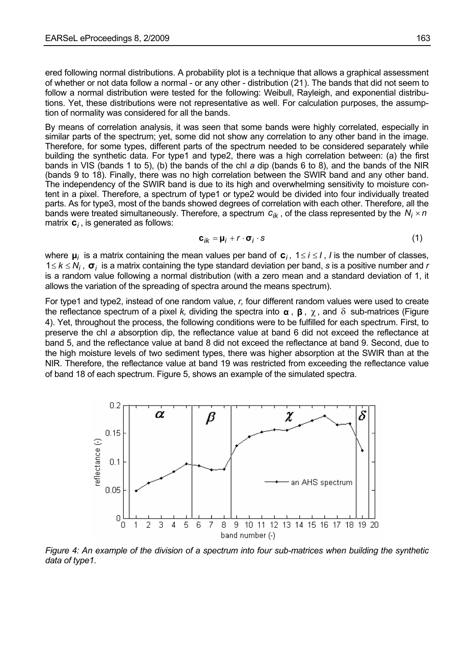ered following normal distributions. A probability plot is a technique that allows a graphical assessment of whether or not data follow a normal - or any other - distribution [\(21](#page-20-0)). The bands that did not seem to follow a normal distribution were tested for the following: Weibull, Rayleigh, and exponential distributions. Yet, these distributions were not representative as well. For calculation purposes, the assumption of normality was considered for all the bands.

By means of correlation analysis, it was seen that some bands were highly correlated, especially in similar parts of the spectrum; yet, some did not show any correlation to any other band in the image. Therefore, for some types, different parts of the spectrum needed to be considered separately while building the synthetic data. For type1 and type2, there was a high correlation between: (a) the first bands in VIS (bands 1 to 5), (b) the bands of the chl *a* dip (bands 6 to 8), and the bands of the NIR (bands 9 to 18). Finally, there was no high correlation between the SWIR band and any other band. The independency of the SWIR band is due to its high and overwhelming sensitivity to moisture content in a pixel. Therefore, a spectrum of type1 or type2 would be divided into four individually treated parts. As for type3, most of the bands showed degrees of correlation with each other. Therefore, all the bands were treated simultaneously. Therefore, a spectrum  $c_{ik}$ , of the class represented by the  $N_i \times n$ matrix  $c_i$ , is generated as follows:

$$
\mathbf{c}_{ik} = \mathbf{\mu}_i + r \cdot \mathbf{\sigma}_i \cdot \mathbf{s} \tag{1}
$$

where  $\mu_i$  is a matrix containing the mean values per band of  $c_i$ ,  $1 \le i \le l$ , *I* is the number of classes,  $1 \leq k \leq N_i$ ,  $\sigma_i$  is a matrix containing the type standard deviation per band, *s* is a positive number and *r* is a random value following a normal distribution (with a zero mean and a standard deviation of 1, it allows the variation of the spreading of spectra around the means spectrum).

For type1 and type2, instead of one random value, *r,* four different random values were used to create the reflectance spectrum of a pixel *k*, dividing the spectra into  $\alpha$ ,  $\beta$ ,  $\chi$ , and  $\delta$  sub-matrices (Figure 4). Yet, throughout the process, the following conditions were to be fulfilled for each spectrum. First, to preserve the chl *a* absorption dip, the reflectance value at band 6 did not exceed the reflectance at band 5, and the reflectance value at band 8 did not exceed the reflectance at band 9. Second, due to the high moisture levels of two sediment types, there was higher absorption at the SWIR than at the NIR. Therefore, the reflectance value at band 19 was restricted from exceeding the reflectance value of band 18 of each spectrum. Figure 5, shows an example of the simulated spectra.



*Figure 4: An example of the division of a spectrum into four sub-matrices when building the synthetic data of type1.*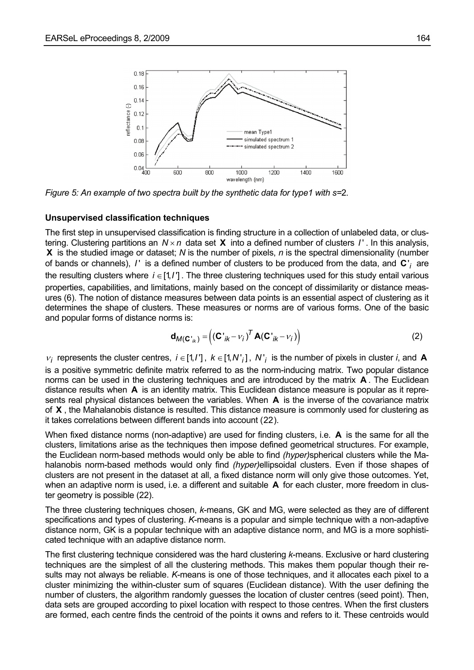

*Figure 5: An example of two spectra built by the synthetic data for type1 with s=*2*.* 

#### **Unsupervised classification techniques**

The first step in unsupervised classification is finding structure in a collection of unlabeled data, or clustering. Clustering partitions an  $N \times n$  data set **X** into a defined number of clusters  $I'$ . In this analysis, is the studied image or dataset; *N* is the number of pixels, *n* is the spectral dimensionality (number **X** of bands or channels),  $I'$  is a defined number of clusters to be produced from the data, and  $C'$  are the resulting clusters where  $i \in [1, l']$ . The three clustering techniques used for this study entail various properties, capabilities, and limitations, mainly based on the concept of dissimilarity or distance measures ( [6\)](#page-1-0). The notion of distance measures between data points is an essential aspect of clustering as it determines the shape of clusters. These measures or norms are of various forms. One of the basic and popular forms of distance norms is:

$$
\mathbf{d}_{M(\mathbf{C'}_{ik})} = \left( (\mathbf{C'}_{ik} - v_i)^T \mathbf{A} (\mathbf{C'}_{ik} - v_i) \right)
$$
 (2)

 $v_i$  represents the cluster centres,  $i \in [1, l']$ ,  $k \in [1, N'$ , is the number of pixels in cluster *i*, and **A** is a positive symmetric definite matrix referred to as the norm-inducing matrix. Two popular distance norms can be used in the clustering techniques and are introduced by the matrix  $\bm{A}$ . The Euclidean distance results when A is an identity matrix. This Euclidean distance measure is popular as it represents real physical distances between the variables. When **A** is the inverse of the covariance matrix of **X**, the Mahalanobis distance is resulted. This distance measure is commonly used for clustering as it takes correlations between different bands into account ( [22](#page-20-0)).

<span id="page-6-0"></span>When fixed distance norms (non-adaptive) are used for finding clusters, i.e. A is the same for all the clusters, limitations arise as the techniques then impose defined geometrical structures. For example, the Euclidean norm-based methods would only be able to find *(hyper)*spherical clusters while the Mahalanobis norm-based methods would only find *(hyper)*ellipsoidal clusters. Even if those shapes of clusters are not present in the dataset at all, a fixed distance norm will only give those outcomes. Yet, when an adaptive norm is used, i.e. a different and suitable **A** for each cluster, more freedom in cluster geometry is possible [\(22\)](#page-6-0).

The three clustering techniques chosen, *k*-means, GK and MG, were selected as they are of different specifications and types of clustering. *K*-means is a popular and simple technique with a non-adaptive distance norm, GK is a popular technique with an adaptive distance norm, and MG is a more sophisticated technique with an adaptive distance norm.

The first clustering technique considered was the hard clustering *k*-means. Exclusive or hard clustering techniques are the simplest of all the clustering methods. This makes them popular though their results may not always be reliable. *K*-means is one of those techniques, and it allocates each pixel to a cluster minimizing the within-cluster sum of squares (Euclidean distance). With the user defining the number of clusters, the algorithm randomly guesses the location of cluster centres (seed point). Then, data sets are grouped according to pixel location with respect to those centres. When the first clusters are formed, each centre finds the centroid of the points it owns and refers to it. These centroids would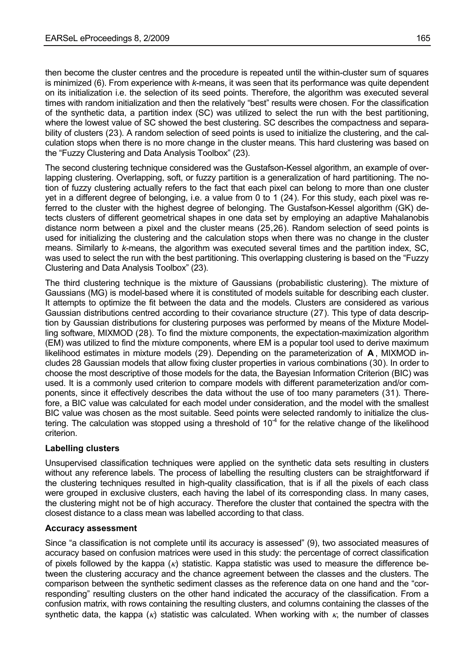then become the cluster centres and the procedure is repeated until the within-cluster sum of squares is minimized ([6\)](#page-1-0). From experience with *k*-means, it was seen that its performance was quite dependent on its initialization i.e. the selection of its seed points. Therefore, the algorithm was executed several times with random initialization and then the relatively "best" results were chosen. For the classification of the synthetic data, a partition index (SC) was utilized to select the run with the best partitioning, where the lowest value of SC showed the best clustering. SC describes the compactness and separability of clusters ([23](#page-20-0)). A random selection of seed points is used to initialize the clustering, and the calculation stops when there is no more change in the cluster means*.* This hard clustering was based on the "Fuzzy Clustering and Data Analysis Toolbox" [\(23\)](#page-7-0).

<span id="page-7-0"></span>The second clustering technique considered was the Gustafson-Kessel algorithm, an example of overlapping clustering. Overlapping, soft, or fuzzy partition is a generalization of hard partitioning. The notion of fuzzy clustering actually refers to the fact that each pixel can belong to more than one cluster yet in a different degree of belonging, i.e. a value from 0 to 1 ([24](#page-20-0)). For this study, each pixel was referred to the cluster with the highest degree of belonging. The Gustafson-Kessel algorithm (GK) detects clusters of different geometrical shapes in one data set by employing an adaptive Mahalanobis distance norm between a pixel and the cluster means ([25](#page-20-0),[26](#page-20-0)). Random selection of seed points is used for initializing the clustering and the calculation stops when there was no change in the cluster means. Similarly to *k*-means, the algorithm was executed several times and the partition index, SC, was used to select the run with the best partitioning. This overlapping clustering is based on the "Fuzzy Clustering and Data Analysis Toolbox" ([23](#page-7-0)).

<span id="page-7-1"></span>The third clustering technique is the mixture of Gaussians (probabilistic clustering). The mixture of Gaussians (MG) is model-based where it is constituted of models suitable for describing each cluster. It attempts to optimize the fit between the data and the models. Clusters are considered as various Gaussian distributions centred according to their covariance structure ([27](#page-20-0)). This type of data description by Gaussian distributions for clustering purposes was performed by means of the Mixture Modelling software, MIXMOD ([28](#page-20-0)). To find the mixture components, the expectation-maximization algorithm (EM) was utilized to find the mixture components, where EM is a popular tool used to derive maximum likelihood estimates in mixture models ([29](#page-20-0)). Depending on the parameterization of  $A$ , MIXMOD includes 28 Gaussian models that allow fixing cluster properties in various combinations ( [30](#page-20-0)). In order to choose the most descriptive of those models for the data, the Bayesian Information Criterion (BIC) was used. It is a commonly used criterion to compare models with different parameterization and/or components, since it effectively describes the data without the use of too many parameters ([31](#page-20-0)). Therefore, a BIC value was calculated for each model under consideration, and the model with the smallest BIC value was chosen as the most suitable. Seed points were selected randomly to initialize the clustering. The calculation was stopped using a threshold of  $10^{-4}$  for the relative change of the likelihood criterion.

## **Labelling clusters**

Unsupervised classification techniques were applied on the synthetic data sets resulting in clusters without any reference labels. The process of labelling the resulting clusters can be straightforward if the clustering techniques resulted in high-quality classification, that is if all the pixels of each class were grouped in exclusive clusters, each having the label of its corresponding class. In many cases, the clustering might not be of high accuracy. Therefore the cluster that contained the spectra with the closest distance to a class mean was labelled according to that class.

## **Accuracy assessment**

Since "a classification is not complete until its accuracy is assessed" [\(9](#page-3-0)), two associated measures of accuracy based on confusion matrices were used in this study: the percentage of correct classification of pixels followed by the kappa  $(k)$  statistic. Kappa statistic was used to measure the difference between the clustering accuracy and the chance agreement between the classes and the clusters. The comparison between the synthetic sediment classes as the reference data on one hand and the "corresponding" resulting clusters on the other hand indicated the accuracy of the classification. From a confusion matrix, with rows containing the resulting clusters, and columns containing the classes of the synthetic data, the kappa ( $\kappa$ ) statistic was calculated. When working with  $\kappa$ , the number of classes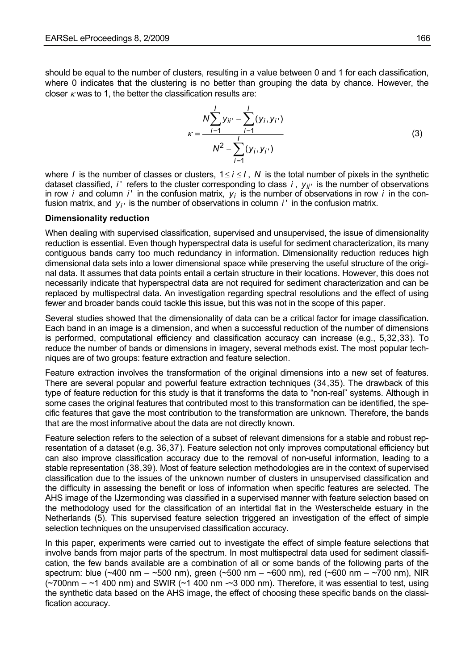should be equal to the number of clusters, resulting in a value between 0 and 1 for each classification, where 0 indicates that the clustering is no better than grouping the data by chance. However, the closer  $\kappa$  was to 1, the better the classification results are:

$$
\kappa = \frac{N \sum_{i=1}^{I} y_{ii'} - \sum_{i=1}^{I} (y_i, y_{i'})}{N^2 - \sum_{i=1}^{I} (y_i, y_{i'})}
$$
(3)

where *I* is the number of classes or clusters,  $1 \le i \le I$ , N is the total number of pixels in the synthetic dataset classified, *i* ' refers to the cluster corresponding to class *i*,  $y_{ij}$  is the number of observations in row *i* and column *i* in the confusion matrix,  $y_i$  is the number of observations in row *i* in the confusion matrix, and  $y_i$  is the number of observations in column *i* ' in the confusion matrix.

#### **Dimensionality reduction**

When dealing with supervised classification, supervised and unsupervised, the issue of dimensionality reduction is essential. Even though hyperspectral data is useful for sediment characterization, its many contiguous bands carry too much redundancy in information. Dimensionality reduction reduces high dimensional data sets into a lower dimensional space while preserving the useful structure of the original data. It assumes that data points entail a certain structure in their locations. However, this does not necessarily indicate that hyperspectral data are not required for sediment characterization and can be replaced by multispectral data. An investigation regarding spectral resolutions and the effect of using fewer and broader bands could tackle this issue, but this was not in the scope of this paper.

Several studies showed that the dimensionality of data can be a critical factor for image classification. Each band in an image is a dimension, and when a successful reduction of the number of dimensions is performed, computational efficiency and classification accuracy can increase (e.g., [5,](#page-0-0)[32](#page-21-0),[33](#page-21-0)). To reduce the number of bands or dimensions in imagery, several methods exist. The most popular techniques are of two groups: feature extraction and feature selection.

Feature extraction involves the transformation of the original dimensions into a new set of features. There are several popular and powerful feature extraction techniques ([34](#page-21-0),[35](#page-21-0)). The drawback of this type of feature reduction for this study is that it transforms the data to "non-real" systems. Although in some cases the original features that contributed most to this transformation can be identified, the specific features that gave the most contribution to the transformation are unknown. Therefore, the bands that are the most informative about the data are not directly known.

Feature selection refers to the selection of a subset of relevant dimensions for a stable and robust representation of a dataset (e.g. [36](#page-21-0),[37](#page-21-0)). Feature selection not only improves computational efficiency but can also improve classification accuracy due to the removal of non-useful information, leading to a stable representation ([38](#page-21-0),[39](#page-21-0)). Most of feature selection methodologies are in the context of supervised classification due to the issues of the unknown number of clusters in unsupervised classification and the difficulty in assessing the benefit or loss of information when specific features are selected. The AHS image of the IJzermonding was classified in a supervised manner with feature selection based on the methodology used for the classification of an intertidal flat in the Westerschelde estuary in the Netherlands [\(5](#page-0-0)). This supervised feature selection triggered an investigation of the effect of simple selection techniques on the unsupervised classification accuracy.

In this paper, experiments were carried out to investigate the effect of simple feature selections that involve bands from major parts of the spectrum. In most multispectral data used for sediment classification, the few bands available are a combination of all or some bands of the following parts of the spectrum: blue (~400 nm – ~500 nm), green (~500 nm – ~600 nm), red (~600 nm – ~700 nm), NIR  $(-700$ nm  $-$  ~1 400 nm) and SWIR  $(-1 400$  nm  $-$ 3 000 nm). Therefore, it was essential to test, using the synthetic data based on the AHS image, the effect of choosing these specific bands on the classification accuracy.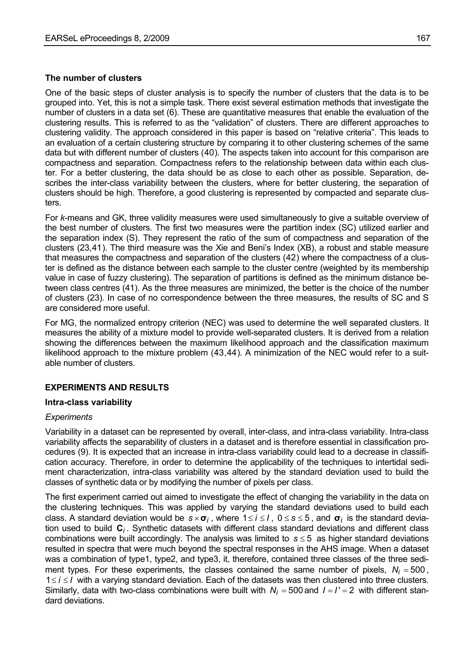#### **The number of clusters**

One of the basic steps of cluster analysis is to specify the number of clusters that the data is to be grouped into. Yet, this is not a simple task. There exist several estimation methods that investigate the number of clusters in a data set ([6\)](#page-1-0). These are quantitative measures that enable the evaluation of the clustering results. This is referred to as the "validation" of clusters. There are different approaches to clustering validity. The approach considered in this paper is based on "relative criteria". This leads to an evaluation of a certain clustering structure by comparing it to other clustering schemes of the same data but with different number of clusters ([40](#page-21-0)). The aspects taken into account for this comparison are compactness and separation. Compactness refers to the relationship between data within each cluster. For a better clustering, the data should be as close to each other as possible. Separation, describes the inter-class variability between the clusters, where for better clustering, the separation of clusters should be high. Therefore, a good clustering is represented by compacted and separate clusters.

<span id="page-9-0"></span>For *k*-means and GK, three validity measures were used simultaneously to give a suitable overview of the best number of clusters. The first two measures were the partition index (SC) utilized earlier and the separation index (S). They represent the ratio of the sum of compactness and separation of the clusters [\(23](#page-7-0),[41](#page-21-0)). The third measure was the Xie and Beni's Index (XB), a robust and stable measure that measures the compactness and separation of the clusters ([42](#page-21-0)) where the compactness of a cluster is defined as the distance between each sample to the cluster centre (weighted by its membership value in case of fuzzy clustering). The separation of partitions is defined as the minimum distance between class centres [\(41](#page-9-0)). As the three measures are minimized, the better is the choice of the number of clusters [\(23\)](#page-7-0). In case of no correspondence between the three measures, the results of SC and S are considered more useful.

For MG, the normalized entropy criterion (NEC) was used to determine the well separated clusters. It measures the ability of a mixture model to provide well-separated clusters. It is derived from a relation showing the differences between the maximum likelihood approach and the classification maximum likelihood approach to the mixture problem ([43](#page-21-0),[44](#page-21-0)). A minimization of the NEC would refer to a suitable number of clusters.

## **EXPERIMENTS AND RESULTS**

#### **Intra-class variability**

#### *Experiments*

Variability in a dataset can be represented by overall, inter-class, and intra-class variability. Intra-class variability affects the separability of clusters in a dataset and is therefore essential in classification procedures [\(9](#page-3-0)). It is expected that an increase in intra-class variability could lead to a decrease in classification accuracy. Therefore, in order to determine the applicability of the techniques to intertidal sediment characterization, intra-class variability was altered by the standard deviation used to build the classes of synthetic data or by modifying the number of pixels per class.

The first experiment carried out aimed to investigate the effect of changing the variability in the data on the clustering techniques. This was applied by varying the standard deviations used to build each class. A standard deviation would be  $s \times \sigma_j$ , where 1≤ *i* ≤ *l*, 0 ≤ *s* ≤ 5, and  $\sigma_j$  is the standard deviacombinations were built accordingly. The analysis was limited to  $s \leq 5$  as higher standard deviations tion used to build **C***<sup>i</sup>* . Synthetic datasets with different class standard deviations and different class resulted in spectra that were much beyond the spectral responses in the AHS image. When a dataset was a combination of type1, type2, and type3, it, therefore, contained three classes of the three sediment types. For these experiments, the classes contained the same number of pixels,  $N_i = 500$ , 1≤*i* ≤*I* with a varying standard deviation. Each of the datasets was then clustered into three clusters. Similarly, data with two-class combinations were built with  $N_i = 500$  and  $I = I' = 2$  with different standard deviations.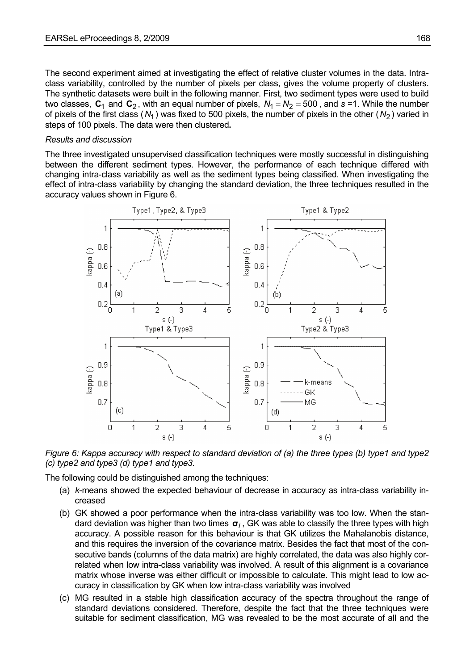The second experiment aimed at investigating the effect of relative cluster volumes in the data. Intraclass variability, controlled by the number of pixels per class, gives the volume property of clusters. The synthetic datasets were built in the following manner. First, two sediment types were used to build two classes,  $C_1$  and  $C_2$ , with an equal number of pixels,  $N_1 = N_2 = 500$ , and  $s = 1$ . While the number of pixels of the first class  $(N_1)$  was fixed to 500 pixels, the number of pixels in the other  $(N_2)$  varied in steps of 100 pixels. The data were then clustered**.** 

#### *Results and discussion*

The three investigated unsupervised classification techniques were mostly successful in distinguishing between the different sediment types. However, the performance of each technique differed with changing intra-class variability as well as the sediment types being classified. When investigating the effect of intra-class variability by changing the standard deviation, the three techniques resulted in the accuracy values shown in Figure 6.



*Figure 6: Kappa accuracy with respect to standard deviation of (a) the three types (b) type1 and type2 (c) type2 and type3 (d) type1 and type3.* 

The following could be distinguished among the techniques:

- (a) *k*-means showed the expected behaviour of decrease in accuracy as intra-class variability increased
- (b) GK showed a poor performance when the intra-class variability was too low. When the standard deviation was higher than two times **σ***<sup>i</sup>* , GK was able to classify the three types with high accuracy. A possible reason for this behaviour is that GK utilizes the Mahalanobis distance, and this requires the inversion of the covariance matrix. Besides the fact that most of the consecutive bands (columns of the data matrix) are highly correlated, the data was also highly correlated when low intra-class variability was involved. A result of this alignment is a covariance matrix whose inverse was either difficult or impossible to calculate. This might lead to low accuracy in classification by GK when low intra-class variability was involved
- (c) MG resulted in a stable high classification accuracy of the spectra throughout the range of standard deviations considered. Therefore, despite the fact that the three techniques were suitable for sediment classification, MG was revealed to be the most accurate of all and the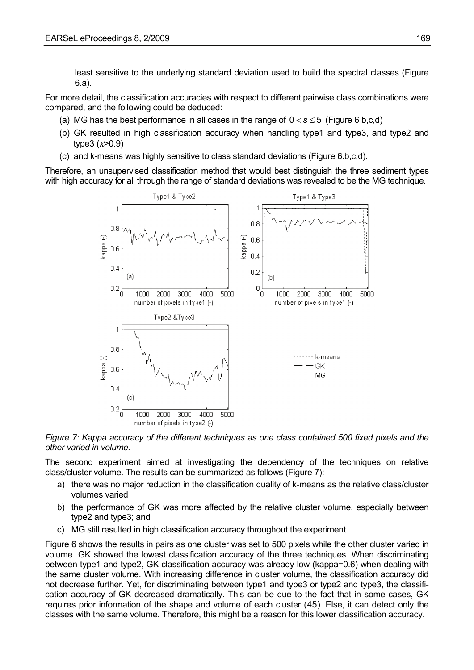least sensitive to the underlying standard deviation used to build the spectral classes (Figure 6.a).

For more detail, the classification accuracies with respect to different pairwise class combinations were compared, and the following could be deduced:

- (a) MG has the best performance in all cases in the range of  $0 < s \le 5$  (Figure 6 b.c.d)
- (b) GK resulted in high classification accuracy when handling type1 and type3, and type2 and type3  $(*k* > 0.9)$
- (c) and k-means was highly sensitive to class standard deviations (Figure 6.b,c,d).

Therefore, an unsupervised classification method that would best distinguish the three sediment types with high accuracy for all through the range of standard deviations was revealed to be the MG technique.



*Figure 7: Kappa accuracy of the different techniques as one class contained 500 fixed pixels and the other varied in volume.* 

The second experiment aimed at investigating the dependency of the techniques on relative class/cluster volume. The results can be summarized as follows (Figure 7):

- a) there was no major reduction in the classification quality of k-means as the relative class/cluster volumes varied
- b) the performance of GK was more affected by the relative cluster volume, especially between type2 and type3; and
- c) MG still resulted in high classification accuracy throughout the experiment.

Figure 6 shows the results in pairs as one cluster was set to 500 pixels while the other cluster varied in volume. GK showed the lowest classification accuracy of the three techniques. When discriminating between type1 and type2, GK classification accuracy was already low (kappa=0.6) when dealing with the same cluster volume. With increasing difference in cluster volume, the classification accuracy did not decrease further. Yet, for discriminating between type1 and type3 or type2 and type3, the classification accuracy of GK decreased dramatically. This can be due to the fact that in some cases, GK requires prior information of the shape and volume of each cluster ([45](#page-21-0)). Else, it can detect only the classes with the same volume. Therefore, this might be a reason for this lower classification accuracy.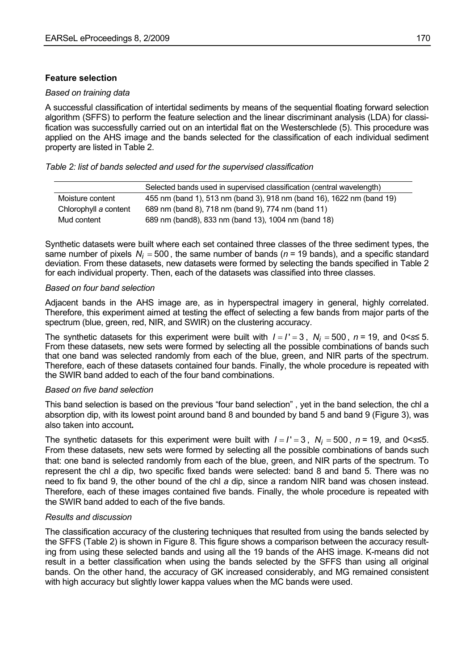## **Feature selection**

### *Based on training data*

A successful classification of intertidal sediments by means of the sequential floating forward selection algorithm (SFFS) to perform the feature selection and the linear discriminant analysis (LDA) for classification was successfully carried out on an intertidal flat on the Westerschlede [\(5\)](#page-0-0). This procedure was applied on the AHS image and the bands selected for the classification of each individual sediment property are listed in Table 2.

## *Table 2: list of bands selected and used for the supervised classification*

|                       | Selected bands used in supervised classification (central wavelength) |  |  |  |
|-----------------------|-----------------------------------------------------------------------|--|--|--|
| Moisture content      | 455 nm (band 1), 513 nm (band 3), 918 nm (band 16), 1622 nm (band 19) |  |  |  |
| Chlorophyll a content | 689 nm (band 8), 718 nm (band 9), 774 nm (band 11)                    |  |  |  |
| Mud content           | 689 nm (band8), 833 nm (band 13), 1004 nm (band 18)                   |  |  |  |

Synthetic datasets were built where each set contained three classes of the three sediment types, the same number of pixels  $N_i = 500$ , the same number of bands ( $n = 19$  bands), and a specific standard deviation. From these datasets, new datasets were formed by selecting the bands specified in Table 2 for each individual property. Then, each of the datasets was classified into three classes.

### *Based on four band selection*

Adjacent bands in the AHS image are, as in hyperspectral imagery in general, highly correlated. Therefore, this experiment aimed at testing the effect of selecting a few bands from major parts of the spectrum (blue, green, red, NIR, and SWIR) on the clustering accuracy.

The synthetic datasets for this experiment were built with  $I = I' = 3$ ,  $N_i = 500$ ,  $n = 19$ , and  $0 < s \le 5$ . From these datasets, new sets were formed by selecting all the possible combinations of bands such that one band was selected randomly from each of the blue, green, and NIR parts of the spectrum. Therefore, each of these datasets contained four bands. Finally, the whole procedure is repeated with the SWIR band added to each of the four band combinations.

## *Based on five band selection*

This band selection is based on the previous "four band selection" , yet in the band selection, the chl a absorption dip, with its lowest point around band 8 and bounded by band 5 and band 9 (Figure 3), was also taken into account**.** 

The synthetic datasets for this experiment were built with  $I = I' = 3$ ,  $N_i = 500$ ,  $n = 19$ , and  $0 < s \le 5$ . From these datasets, new sets were formed by selecting all the possible combinations of bands such that: one band is selected randomly from each of the blue, green, and NIR parts of the spectrum. To represent the chl *a* dip, two specific fixed bands were selected: band 8 and band 5. There was no need to fix band 9, the other bound of the chl *a* dip, since a random NIR band was chosen instead. Therefore, each of these images contained five bands. Finally, the whole procedure is repeated with the SWIR band added to each of the five bands.

## *Results and discussion*

The classification accuracy of the clustering techniques that resulted from using the bands selected by the SFFS (Table 2) is shown in Figure 8. This figure shows a comparison between the accuracy resulting from using these selected bands and using all the 19 bands of the AHS image. K-means did not result in a better classification when using the bands selected by the SFFS than using all original bands. On the other hand, the accuracy of GK increased considerably, and MG remained consistent with high accuracy but slightly lower kappa values when the MC bands were used.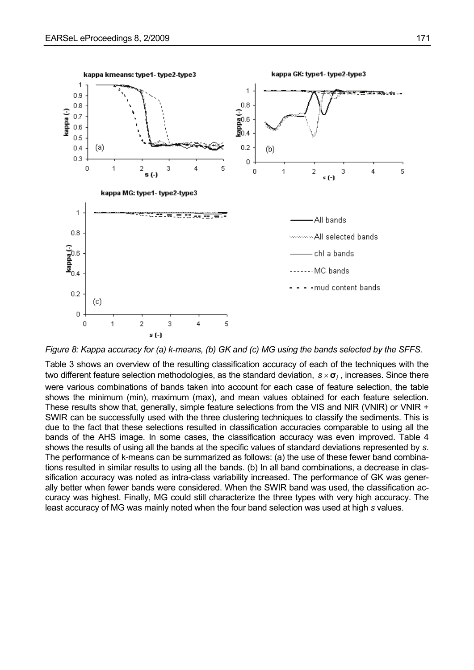

*Figure 8: Kappa accuracy for (a) k-means, (b) GK and (c) MG using the bands selected by the SFFS.* 

Table 3 shows an overview of the resulting classification accuracy of each of the techniques with the two different feature selection methodologies, as the standard deviation, *s* ×**σ***<sup>i</sup>* , increases. Since there were various combinations of bands taken into account for each case of feature selection, the table shows the minimum (min), maximum (max), and mean values obtained for each feature selection. These results show that, generally, simple feature selections from the VIS and NIR (VNIR) or VNIR + SWIR can be successfully used with the three clustering techniques to classify the sediments. This is due to the fact that these selections resulted in classification accuracies comparable to using all the bands of the AHS image. In some cases, the classification accuracy was even improved. Table 4 shows the results of using all the bands at the specific values of standard deviations represented by *s*. The performance of k-means can be summarized as follows: (a) the use of these fewer band combinations resulted in similar results to using all the bands. (b) In all band combinations, a decrease in classification accuracy was noted as intra-class variability increased. The performance of GK was generally better when fewer bands were considered. When the SWIR band was used, the classification accuracy was highest. Finally, MG could still characterize the three types with very high accuracy. The least accuracy of MG was mainly noted when the four band selection was used at high *s* values.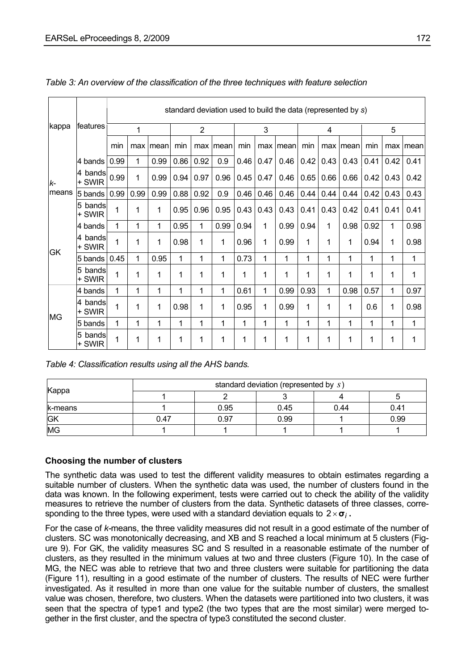|        |                       | standard deviation used to build the data (represented by s) |      |      |                |              |      |      |      |          |      |      |          |      |      |       |
|--------|-----------------------|--------------------------------------------------------------|------|------|----------------|--------------|------|------|------|----------|------|------|----------|------|------|-------|
| kappa  | <b>features</b>       |                                                              | 1    |      | $\overline{2}$ |              | 3    |      | 4    |          |      | 5    |          |      |      |       |
|        |                       | min                                                          | max  | mean | min            | max          | mean | min  |      | max mean | min  |      | max mean | min  | max  | Imean |
|        | 4 bands               | 0.99                                                         | 1    | 0.99 | 0.86           | 0.92         | 0.9  | 0.46 | 0.47 | 0.46     | 0.42 | 0.43 | 0.43     | 0.41 | 0.42 | 0.41  |
| k-     | 4 bands<br>+ SWIR     | 0.99                                                         | 1    | 0.99 | 0.94           | 0.97         | 0.96 | 0.45 | 0.47 | 0.46     | 0.65 | 0.66 | 0.66     | 0.42 | 0.43 | 0.42  |
| lmeans | 5 bands               | 0.99                                                         | 0.99 | 0.99 | 0.88           | 0.92         | 0.9  | 0.46 | 0.46 | 0.46     | 0.44 | 0.44 | 0.44     | 0.42 | 0.43 | 0.43  |
|        | 5 bands<br>+ SWIR     | 1                                                            | 1    | 1    | 0.95           | 0.96         | 0.95 | 0.43 | 0.43 | 0.43     | 0.41 | 0.43 | 0.42     | 0.41 | 0.41 | 0.41  |
|        | 4 bands               | 1                                                            | 1    | 1    | 0.95           | $\mathbf{1}$ | 0.99 | 0.94 | 1    | 0.99     | 0.94 | 1    | 0.98     | 0.92 | 1    | 0.98  |
| GK     | 4 bands<br>+ SWIR     | 1                                                            | 1    | 1    | 0.98           | 1            | 1    | 0.96 | 1    | 0.99     | 1    | 1    | 1        | 0.94 | 1    | 0.98  |
|        | 5 bands               | 0.45                                                         | 1    | 0.95 | 1              | 1            | 1    | 0.73 | 1    | 1        | 1    | 1    | 1        | 1    | 1    | 1     |
|        | 5<br>bandsl<br>+ SWIR | 1                                                            | 1    | 1    | 1              | 1            | 1    | 1    | 1    | 1        | 1    | 1    | 1        | 1    | 1    | 1     |
|        | 4 bands               | 1                                                            | 1    | 1    | 1              | 1            | 1    | 0.61 | 1    | 0.99     | 0.93 | 1    | 0.98     | 0.57 | 1    | 0.97  |
| MG     | 4 bands<br>+ SWIR     | 1                                                            | 1    | 1    | 0.98           | 1            | 1    | 0.95 | 1    | 0.99     | 1    | 1    | 1        | 0.6  | 1    | 0.98  |
|        | 5 bands               | 1                                                            | 1    | 1    | 1              | 1            | 1    | 1    | 1    | 1        | 1    | 1    | 1        | 1    | 1    | 1     |
|        | bandsl<br>5<br>+ SWIR | 1                                                            | 1    | 1    | 1              | 1            | 1    | 1    | 1    | 1        | 1    | 1    | 1        | 1    | 1    | 1     |

## *Table 3: An overview of the classification of the three techniques with feature selection*

*Table 4: Classification results using all the AHS bands.* 

| Kappa     | standard deviation (represented by s) |      |      |      |      |  |  |  |  |
|-----------|---------------------------------------|------|------|------|------|--|--|--|--|
|           |                                       |      |      |      |      |  |  |  |  |
| k-means   |                                       | 0.95 | 0.45 | 0.44 | 0.41 |  |  |  |  |
| <b>GK</b> | 0.47                                  | 0.97 | 0.99 |      | 0.99 |  |  |  |  |
| <b>MG</b> |                                       |      |      |      |      |  |  |  |  |

## **Choosing the number of clusters**

The synthetic data was used to test the different validity measures to obtain estimates regarding a suitable number of clusters. When the synthetic data was used, the number of clusters found in the data was known. In the following experiment, tests were carried out to check the ability of the validity measures to retrieve the number of clusters from the data. Synthetic datasets of three classes, corresponding to the three types, were used with a standard deviation equals to 2×**σ***<sup>i</sup>* **.**

For the case of *k-*means, the three validity measures did not result in a good estimate of the number of clusters. SC was monotonically decreasing, and XB and S reached a local minimum at 5 clusters (Figure 9). For GK, the validity measures SC and S resulted in a reasonable estimate of the number of clusters, as they resulted in the minimum values at two and three clusters (Figure 10). In the case of MG, the NEC was able to retrieve that two and three clusters were suitable for partitioning the data (Figure 11), resulting in a good estimate of the number of clusters. The results of NEC were further investigated. As it resulted in more than one value for the suitable number of clusters, the smallest value was chosen, therefore, two clusters. When the datasets were partitioned into two clusters, it was seen that the spectra of type1 and type2 (the two types that are the most similar) were merged together in the first cluster, and the spectra of type3 constituted the second cluster.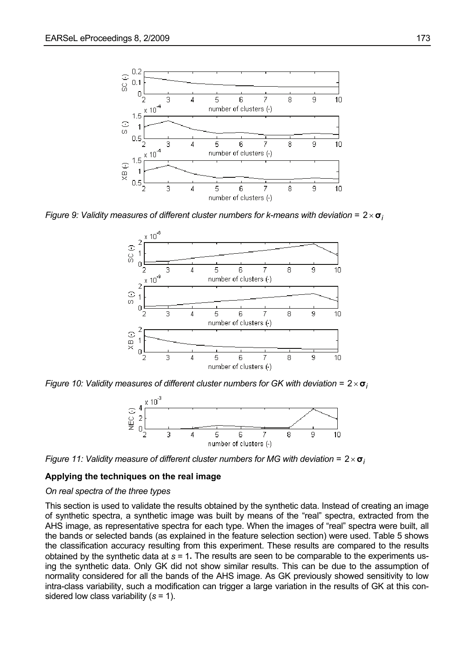

*Figure 9: Validity measures of different cluster numbers for k-means with deviation =*  $2 \times \sigma_i$ 



*Figure 10: Validity measures of different cluster numbers for GK with deviation =*  $2 \times \sigma_i$ 





#### **Applying the techniques on the real image**

#### *On real spectra of the three types*

This section is used to validate the results obtained by the synthetic data. Instead of creating an image of synthetic spectra, a synthetic image was built by means of the "real" spectra, extracted from the AHS image, as representative spectra for each type. When the images of "real" spectra were built, all the bands or selected bands (as explained in the feature selection section) were used. Table 5 shows the classification accuracy resulting from this experiment. These results are compared to the results obtained by the synthetic data at *s* = 1**.** The results are seen to be comparable to the experiments using the synthetic data. Only GK did not show similar results. This can be due to the assumption of normality considered for all the bands of the AHS image. As GK previously showed sensitivity to low intra-class variability, such a modification can trigger a large variation in the results of GK at this considered low class variability (*s* = 1).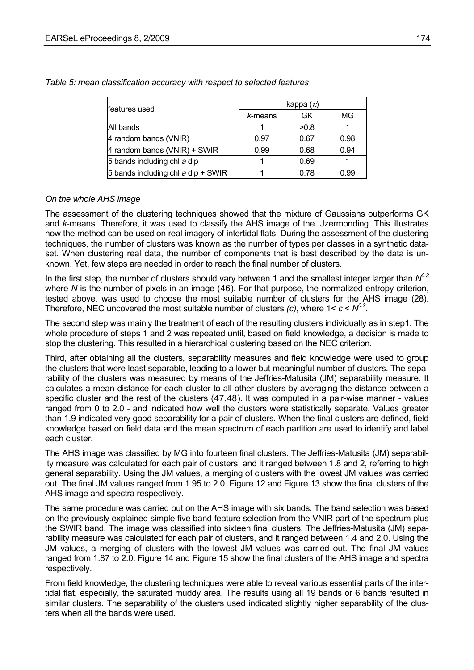| features used                      | kappa $(\kappa)$ |      |      |  |  |  |
|------------------------------------|------------------|------|------|--|--|--|
|                                    | k-means          | GK   | MG   |  |  |  |
| All bands                          |                  | >0.8 |      |  |  |  |
| 4 random bands (VNIR)              | 0.97             | 0.67 | 0.98 |  |  |  |
| 4 random bands (VNIR) + SWIR       | 0.99             | 0.68 | 0.94 |  |  |  |
| 5 bands including chl a dip        |                  | 0.69 |      |  |  |  |
| 5 bands including chl a dip + SWIR |                  | 0.78 | 0.99 |  |  |  |

*Table 5: mean classification accuracy with respect to selected features* 

### *On the whole AHS image*

The assessment of the clustering techniques showed that the mixture of Gaussians outperforms GK and *k*-means. Therefore, it was used to classify the AHS image of the IJzermonding. This illustrates how the method can be used on real imagery of intertidal flats. During the assessment of the clustering techniques, the number of clusters was known as the number of types per classes in a synthetic dataset. When clustering real data, the number of components that is best described by the data is unknown. Yet, few steps are needed in order to reach the final number of clusters.

In the first step, the number of clusters should vary between 1 and the smallest integer larger than  $N^{0.3}$ where *N* is the number of pixels in an image ([46](#page-21-0)). For that purpose, the normalized entropy criterion, tested above, was used to choose the most suitable number of clusters for the AHS image [\(28](#page-7-1)). Therefore, NEC uncovered the most suitable number of clusters *(c)*, where  $1 < c < N^{0.3}$ .

The second step was mainly the treatment of each of the resulting clusters individually as in step1. The whole procedure of steps 1 and 2 was repeated until, based on field knowledge, a decision is made to stop the clustering. This resulted in a hierarchical clustering based on the NEC criterion.

Third, after obtaining all the clusters, separability measures and field knowledge were used to group the clusters that were least separable, leading to a lower but meaningful number of clusters. The separability of the clusters was measured by means of the Jeffries-Matusita (JM) separability measure. It calculates a mean distance for each cluster to all other clusters by averaging the distance between a specific cluster and the rest of the clusters ([47,48](#page-21-0)). It was computed in a pair-wise manner - values ranged from 0 to 2.0 - and indicated how well the clusters were statistically separate. Values greater than 1.9 indicated very good separability for a pair of clusters. When the final clusters are defined, field knowledge based on field data and the mean spectrum of each partition are used to identify and label each cluster.

The AHS image was classified by MG into fourteen final clusters. The Jeffries-Matusita (JM) separability measure was calculated for each pair of clusters, and it ranged between 1.8 and 2, referring to high general separability. Using the JM values, a merging of clusters with the lowest JM values was carried out. The final JM values ranged from 1.95 to 2.0. Figure 12 and Figure 13 show the final clusters of the AHS image and spectra respectively.

The same procedure was carried out on the AHS image with six bands. The band selection was based on the previously explained simple five band feature selection from the VNIR part of the spectrum plus the SWIR band. The image was classified into sixteen final clusters. The Jeffries-Matusita (JM) separability measure was calculated for each pair of clusters, and it ranged between 1.4 and 2.0. Using the JM values, a merging of clusters with the lowest JM values was carried out. The final JM values ranged from 1.87 to 2.0. Figure 14 and Figure 15 show the final clusters of the AHS image and spectra respectively.

From field knowledge, the clustering techniques were able to reveal various essential parts of the intertidal flat, especially, the saturated muddy area. The results using all 19 bands or 6 bands resulted in similar clusters. The separability of the clusters used indicated slightly higher separability of the clusters when all the bands were used.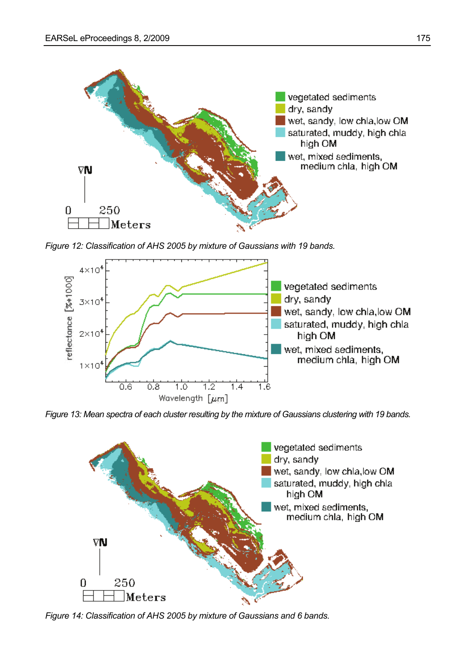

*Figure 12: Classification of AHS 2005 by mixture of Gaussians with 19 bands.* 



*Figure 13: Mean spectra of each cluster resulting by the mixture of Gaussians clustering with 19 bands.* 



*Figure 14: Classification of AHS 2005 by mixture of Gaussians and 6 bands.*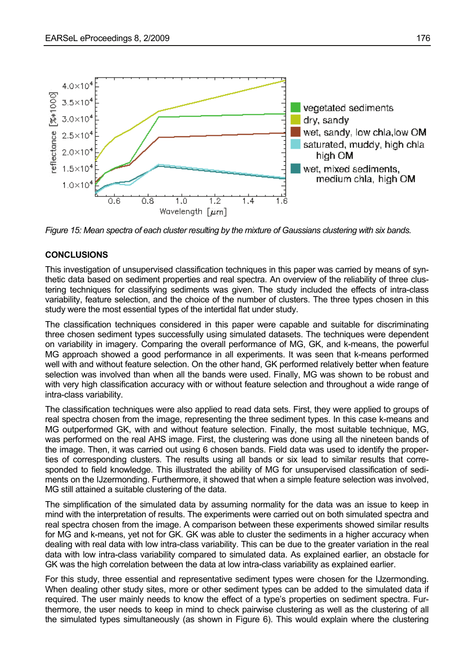

*Figure 15: Mean spectra of each cluster resulting by the mixture of Gaussians clustering with six bands.* 

#### **CONCLUSIONS**

This investigation of unsupervised classification techniques in this paper was carried by means of synthetic data based on sediment properties and real spectra. An overview of the reliability of three clustering techniques for classifying sediments was given. The study included the effects of intra-class variability, feature selection, and the choice of the number of clusters. The three types chosen in this study were the most essential types of the intertidal flat under study.

The classification techniques considered in this paper were capable and suitable for discriminating three chosen sediment types successfully using simulated datasets. The techniques were dependent on variability in imagery. Comparing the overall performance of MG, GK, and k-means, the powerful MG approach showed a good performance in all experiments. It was seen that k-means performed well with and without feature selection. On the other hand, GK performed relatively better when feature selection was involved than when all the bands were used. Finally, MG was shown to be robust and with very high classification accuracy with or without feature selection and throughout a wide range of intra-class variability.

The classification techniques were also applied to read data sets. First, they were applied to groups of real spectra chosen from the image, representing the three sediment types. In this case k-means and MG outperformed GK, with and without feature selection. Finally, the most suitable technique, MG, was performed on the real AHS image. First, the clustering was done using all the nineteen bands of the image. Then, it was carried out using 6 chosen bands. Field data was used to identify the properties of corresponding clusters. The results using all bands or six lead to similar results that corresponded to field knowledge. This illustrated the ability of MG for unsupervised classification of sediments on the IJzermonding. Furthermore, it showed that when a simple feature selection was involved, MG still attained a suitable clustering of the data.

The simplification of the simulated data by assuming normality for the data was an issue to keep in mind with the interpretation of results. The experiments were carried out on both simulated spectra and real spectra chosen from the image. A comparison between these experiments showed similar results for MG and k-means, yet not for GK. GK was able to cluster the sediments in a higher accuracy when dealing with real data with low intra-class variability. This can be due to the greater variation in the real data with low intra-class variability compared to simulated data. As explained earlier, an obstacle for GK was the high correlation between the data at low intra-class variability as explained earlier.

For this study, three essential and representative sediment types were chosen for the IJzermonding. When dealing other study sites, more or other sediment types can be added to the simulated data if required. The user mainly needs to know the effect of a type's properties on sediment spectra. Furthermore, the user needs to keep in mind to check pairwise clustering as well as the clustering of all the simulated types simultaneously (as shown in Figure 6). This would explain where the clustering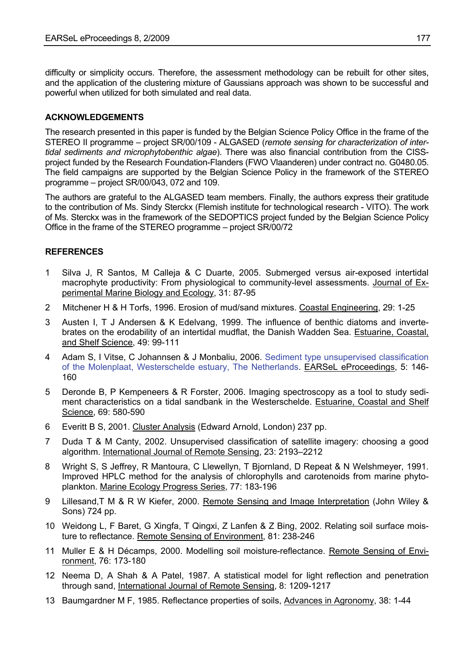<span id="page-19-1"></span>difficulty or simplicity occurs. Therefore, the assessment methodology can be rebuilt for other sites, and the application of the clustering mixture of Gaussians approach was shown to be successful and powerful when utilized for both simulated and real data.

## **ACKNOWLEDGEMENTS**

The research presented in this paper is funded by the Belgian Science Policy Office in the frame of the STEREO II programme – project SR/00/109 - ALGASED (*remote sensing for characterization of intertidal sediments and microphytobenthic algae*). There was also financial contribution from the CISSproject funded by the Research Foundation-Flanders (FWO Vlaanderen) under contract no. G0480.05. The field campaigns are supported by the Belgian Science Policy in the framework of the STEREO programme – project SR/00/043, 072 and 109.

The authors are grateful to the ALGASED team members. Finally, the authors express their gratitude to the contribution of Ms. Sindy Sterckx (Flemish institute for technological research - VITO). The work of Ms. Sterckx was in the framework of the SEDOPTICS project funded by the Belgian Science Policy Office in the frame of the STEREO programme – project SR/00/72

## **REFERENCES**

- <span id="page-19-0"></span>1 Silva J, R Santos, M Calleja & C Duarte, 2005. Submerged versus air-exposed intertidal macrophyte productivity: From physiological to community-level assessments. Journal of Experimental Marine Biology and Ecology, 31: 87-95
- 2 Mitchener H & H Torfs, 1996. Erosion of mud/sand mixtures. Coastal Engineering, 29: 1-25
- 3 Austen I, T J Andersen & K Edelvang, 1999. The influence of benthic diatoms and invertebrates on the erodability of an intertidal mudflat, the Danish Wadden Sea. Estuarine, Coastal, and Shelf Science, 49: 99-111
- 4 Adam S, I Vitse, C Johannsen & J Monbaliu, 2006. [Sediment type unsupervised classification](http://www.eproceedings.org/static/vol05_2/05_2_adam1.html)  [of the Molenplaat, Westerschelde estuary, The Netherlands](http://www.eproceedings.org/static/vol05_2/05_2_adam1.html). EARSeL eProceedings, 5: 146- 160
- 5 Deronde B, P Kempeneers & R Forster, 2006. Imaging spectroscopy as a tool to study sediment characteristics on a tidal sandbank in the Westerschelde. Estuarine, Coastal and Shelf Science, 69: 580-590
- 6 Everitt B S, 2001. Cluster Analysis (Edward Arnold, London) 237 pp.
- 7 Duda T & M Canty, 2002. Unsupervised classification of satellite imagery: choosing a good algorithm. International Journal of Remote Sensing, 23: 2193–2212
- 8 Wright S, S Jeffrey, R Mantoura, C Llewellyn, T Bjornland, D Repeat & N Welshmeyer, 1991. Improved HPLC method for the analysis of chlorophylls and carotenoids from marine phytoplankton. Marine Ecology Progress Series, 77: 183-196
- 9 Lillesand,T M & R W Kiefer, 2000. Remote Sensing and Image Interpretation (John Wiley & Sons) 724 pp.
- 10 Weidong L, F Baret, G Xingfa, T Qingxi, Z Lanfen & Z Bing, 2002. Relating soil surface moisture to reflectance. Remote Sensing of Environment, 81: 238-246
- 11 Muller E & H Décamps, 2000. Modelling soil moisture-reflectance. Remote Sensing of Environment, 76: 173-180
- 12 Neema D, A Shah & A Patel, 1987. A statistical model for light reflection and penetration through sand, International Journal of Remote Sensing, 8: 1209-1217
- 13 Baumgardner M F, 1985. Reflectance properties of soils, Advances in Agronomy, 38: 1-44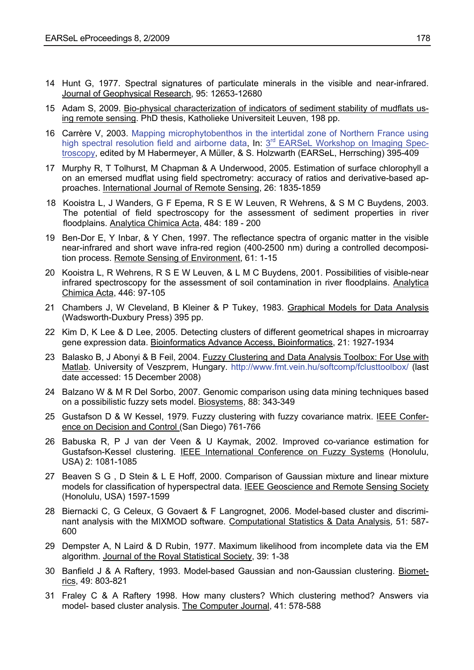- <span id="page-20-0"></span>14 Hunt G, 1977. Spectral signatures of particulate minerals in the visible and near-infrared. Journal of Geophysical Research, 95: 12653-12680
- 15 Adam S, 2009. Bio-physical characterization of indicators of sediment stability of mudflats using remote sensing. PhD thesis, [Katholieke Universiteit Leuven](http://www.kuleuven.be/), 198 pp.
- 16 Carrère V, 2003. [Mapping microphytobenthos in the intertidal zone of Northern France using](http://www.earsel.org/workshops/imaging-spectroscopy-2003/papers/limnology/carrere.pdf)  [high spectral resolution field and airborne data](http://www.earsel.org/workshops/imaging-spectroscopy-2003/papers/limnology/carrere.pdf), In: 3<sup>rd</sup> EARSeL Workshop on Imaging Spec[troscopy,](http://www.earsel.org/workshops/imaging-spectroscopy-2003/html/index.htm) edited by M Habermeyer, A Müller, & S. Holzwarth (EARSeL, Herrsching) 395-409
- 17 Murphy R, T Tolhurst, M Chapman & A Underwood, 2005. Estimation of surface chlorophyll a on an emersed mudflat using field spectrometry: accuracy of ratios and derivative-based approaches. International Journal of Remote Sensing, 26: 1835-1859
- 18 Kooistra L, J Wanders, G F Epema, R S E W Leuven, R Wehrens, & S M C Buydens, 2003. The potential of field spectroscopy for the assessment of sediment properties in river floodplains. Analytica Chimica Acta, 484: 189 - 200
- 19 Ben-Dor E, Y Inbar, & Y Chen, 1997. The reflectance spectra of organic matter in the visible near-infrared and short wave infra-red region (400-2500 nm) during a controlled decomposition process. Remote Sensing of Environment, 61: 1-15
- 20 Kooistra L, R Wehrens, R S E W Leuven, & L M C Buydens, 2001. Possibilities of visible-near infrared spectroscopy for the assessment of soil contamination in river floodplains. Analytica Chimica Acta, 446: 97-105
- 21 Chambers J, W Cleveland, B Kleiner & P Tukey, 1983. Graphical Models for Data Analysis (Wadsworth-Duxbury Press) 395 pp.
- 22 Kim D, K Lee & D Lee, 2005. Detecting clusters of different geometrical shapes in microarray gene expression data. Bioinformatics Advance Access, Bioinformatics, 21: 1927-1934
- 23 Balasko B, J Abonyi & B Feil, 2004. Fuzzy Clustering and Data Analysis Toolbox: For Use with Matlab. University of Veszprem, Hungary. <http://www.fmt.vein.hu/softcomp/fclusttoolbox/>(last date accessed: 15 December 2008)
- 24 Balzano W & M R Del Sorbo, 2007. Genomic comparison using data mining techniques based on a possibilistic fuzzy sets model. Biosystems, 88: 343-349
- 25 Gustafson D & W Kessel, 1979. Fuzzy clustering with fuzzy covariance matrix. IEEE Conference on Decision and Control (San Diego) 761-766
- 26 Babuska R, P J van der Veen & U Kaymak, 2002. Improved co-variance estimation for Gustafson-Kessel clustering. IEEE International Conference on Fuzzy Systems (Honolulu, USA) 2: 1081-1085
- 27 Beaven S G , D Stein & L E Hoff, 2000. Comparison of Gaussian mixture and linear mixture models for classification of hyperspectral data. IEEE Geoscience and Remote Sensing Society (Honolulu, USA) 1597-1599
- 28 Biernacki C, G Celeux, G Govaert & F Langrognet, 2006. Model-based cluster and discriminant analysis with the MIXMOD software. Computational Statistics & Data Analysis, 51: 587-600
- 29 Dempster A, N Laird & D Rubin, 1977. Maximum likelihood from incomplete data via the EM algorithm. Journal of the Royal Statistical Society, 39: 1-38
- 30 Banfield J & A Raftery, 1993. Model-based Gaussian and non-Gaussian clustering. Biometrics, 49: 803-821
- 31 Fraley C & A Raftery 1998. How many clusters? Which clustering method? Answers via model- based cluster analysis. The Computer Journal, 41: 578-588